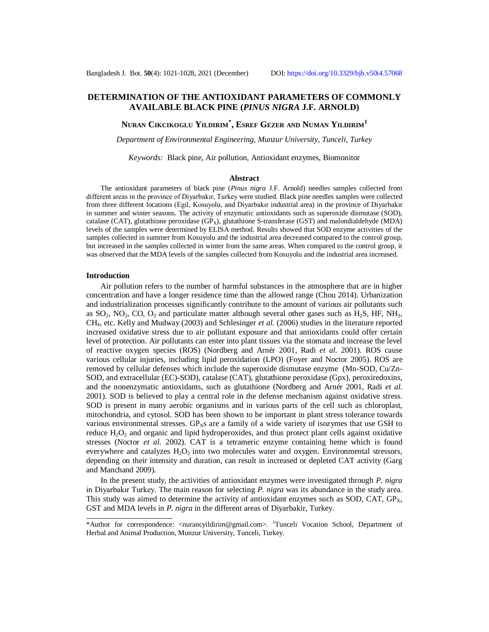## **DETERMINATION OF THE ANTIOXIDANT PARAMETERS OF COMMONLY AVAILABLE BLACK PINE (***PINUS NIGRA* **J.F. ARNOLD)**

# **NURAN CIKCIKOGLU YILDIRIM\* , ESREF GEZER AND NUMAN YILDIRIM<sup>1</sup>**

*Department of Environmental Engineering, Munzur University, Tunceli, Turkey*

*Keywords:* Black pine, Air pollution, Antioxidant enzymes, Biomonitor

#### **Abstract**

The antioxidant parameters of black pine (*Pinus nigra* J.F. Arnold) needles samples collected from different areas in the province of Diyarbakır, Turkey were studied. Black pine needles samples were collected from three different locations (Egil, Kosuyolu, and Diyarbakır industrial area) in the province of Diyarbakır in summer and winter seasons. The activity of enzymatic antioxidants such as superoxide dismutase (SOD), catalase (CAT), glutathione peroxidase (GP<sub>X</sub>), glutathione S-transferase (GST) and malondialdehyde (MDA) levels of the samples were determined by ELISA method. Results showed that SOD enzyme activities of the samples collected in summer from Kosuyolu and the industrial area decreased compared to the control group, but increased in the samples collected in winter from the same areas. When compared to the control group, it was observed that the MDA levels of the samples collected from Kosuyolu and the industrial area increased.

#### **Introduction**

Air pollution refers to the number of harmful substances in the atmosphere that are in higher concentration and have a longer residence time than the allowed range (Chou 2014). Urbanization and industrialization processes significantly contribute to the amount of various air pollutants such as  $SO_2$ ,  $NO_2$ ,  $CO$ ,  $O_3$  and particulate matter although several other gases such as H<sub>2</sub>S, HF, NH<sub>3</sub>, CH4, etc. Kelly and Mudway (2003) and Schlesinger *et al.* (2006) studies in the literature reported increased oxidative stress due to air pollutant exposure and that antioxidants could offer certain level of protection. Air pollutants can enter into plant tissues via the stomata and increase the level of reactive oxygen species (ROS) (Nordberg and Arnér 2001, Radi *et al.* 2001). ROS cause various cellular injuries, including lipid peroxidation (LPO) (Foyer and Noctor 2005). ROS are removed by cellular defenses which include the superoxide dismutase enzyme (Mn-SOD, Cu/Zn-SOD, and extracellular (EC)-SOD), catalase (CAT), glutathione peroxidase (Gpx), peroxiredoxins, and the nonenzymatic antioxidants, such as glutathione (Nordberg and Arnér 2001, Radi *et al.* 2001). SOD is believed to play a central role in the defense mechanism against oxidative stress. SOD is present in many aerobic organisms and in various parts of the cell such as chloroplast, mitochondria, and cytosol. SOD has been shown to be important in plant stress tolerance towards various environmental stresses.  $GP<sub>XS</sub>$  are a family of a wide variety of isozymes that use GSH to reduce  $H_2O_2$  and organic and lipid hydroperoxides, and thus protect plant cells against oxidative stresses (Noctor *et al.* 2002). CAT is a tetrameric enzyme containing heme which is found everywhere and catalyzes  $H_2O_2$  into two molecules water and oxygen. Environmental stressors, depending on their intensity and duration, can result in increased or depleted CAT activity (Garg and Manchand 2009).

In the present study, the activities of antioxidant enzymes were investigated through *P. nigra* in Diyarbakır Turkey. The main reason for selecting *P. nigra* was its abundance in the study area. This study was aimed to determine the activity of antioxidant enzymes such as SOD, CAT,  $GP<sub>X</sub>$ , GST and MDA levels in *P. nigra* in the different areas of Diyarbakir, Turkey.

<sup>\*</sup>Author for correspondence: <[nurancyildirim@gmail.com>](mailto:nurancyildirim@gmail.com). <sup>1</sup>Tunceli Vocation School, Department of Herbal and Animal Production, Munzur University, Tunceli, Turkey.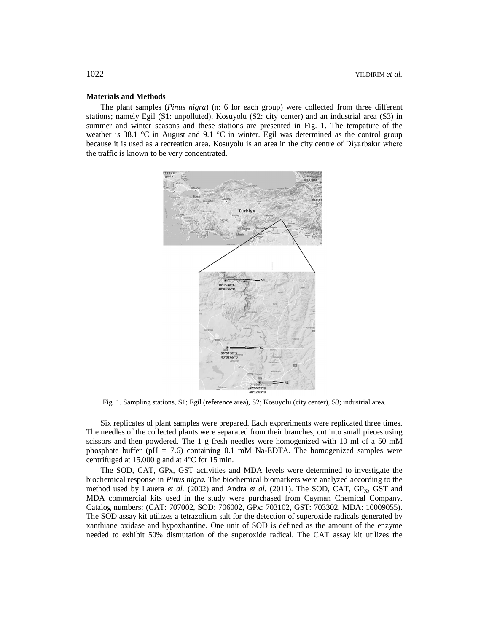#### **Materials and Methods**

The plant samples (*Pinus nigra*) (n: 6 for each group) were collected from three different stations; namely Egil (S1: unpolluted), Kosuyolu (S2: city center) and an industrial area (S3) in summer and winter seasons and these stations are presented in Fig. 1. The tempature of the weather is 38.1 °C in August and 9.1 °C in winter. Egil was determined as the control group because it is used as a recreation area. Kosuyolu is an area in the city centre of Diyarbakır where the traffic is known to be very concentrated.



Fig. 1. Sampling stations, S1; Egil (reference area), S2; Kosuyolu (city center), S3; industrial area.

Six replicates of plant samples were prepared. Each expreriments were replicated three times. The needles of the collected plants were separated from their branches, cut into small pieces using scissors and then powdered. The 1 g fresh needles were homogenized with 10 ml of a 50 mM phosphate buffer ( $pH = 7.6$ ) containing 0.1 mM Na-EDTA. The homogenized samples were centrifuged at 15.000 g and at 4°C for 15 min.

The SOD, CAT, GPx, GST activities and MDA levels were determined to investigate the biochemical response in *Pinus nigra.* The biochemical biomarkers were analyzed according to the method used by Lauera *et al.* (2002) and Andra *et al.* (2011). The SOD, CAT, GP<sub>X</sub>, GST and MDA commercial kits used in the study were purchased from Cayman Chemical Company. Catalog numbers: (CAT: 707002, SOD: 706002, GPx: 703102, GST: 703302, MDA: 10009055). The SOD assay kit utilizes a tetrazolium salt for the detection of superoxide radicals generated by xanthiane oxidase and hypoxhantine. One unit of SOD is defined as the amount of the enzyme needed to exhibit 50% dismutation of the superoxide radical. The CAT assay kit utilizes the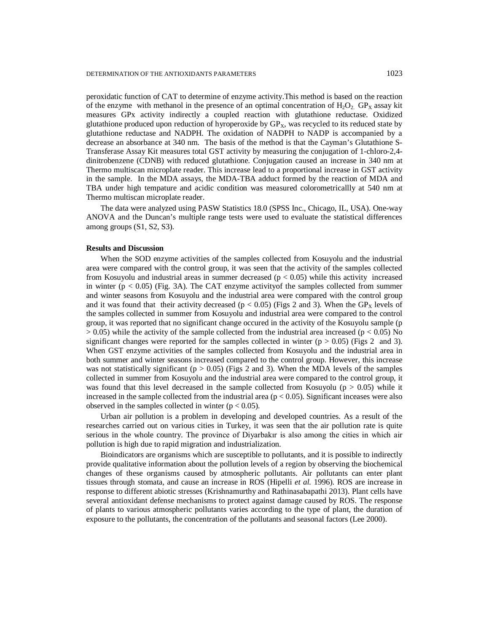peroxidatic function of CAT to determine of enzyme activity.This method is based on the reaction of the enzyme with methanol in the presence of an optimal concentration of  $H_2O_2$ . GP<sub>X</sub> assay kit measures GPx activity indirectly a coupled reaction with glutathione reductase. Oxidized glutathione produced upon reduction of hyroperoxide by  $GP_x$ , was recycled to its reduced state by glutathione reductase and NADPH. The oxidation of NADPH to NADP is accompanied by a decrease an absorbance at 340 nm. The basis of the method is that the Cayman's Glutathione S-Transferase Assay Kit measures total GST activity by measuring the conjugation of 1-chloro-2,4 dinitrobenzene (CDNB) with reduced glutathione. Conjugation caused an increase in 340 nm at Thermo multiscan microplate reader. This increase lead to a proportional increase in GST activity in the sample. In the MDA assays, the MDA-TBA adduct formed by the reaction of MDA and TBA under high tempature and acidic condition was measured colorometricallly at 540 nm at Thermo multiscan microplate reader.

The data were analyzed using PASW Statistics 18.0 (SPSS Inc., Chicago, IL, USA). One-way ANOVA and the Duncan's multiple range tests were used to evaluate the statistical differences among groups (S1, S2, S3).

### **Results and Discussion**

When the SOD enzyme activities of the samples collected from Kosuyolu and the industrial area were compared with the control group, it was seen that the activity of the samples collected from Kosuyolu and industrial areas in summer decreased ( $p < 0.05$ ) while this activity increased in winter  $(p < 0.05)$  (Fig. 3A). The CAT enzyme activity of the samples collected from summer and winter seasons from Kosuyolu and the industrial area were compared with the control group and it was found that their activity decreased ( $p < 0.05$ ) (Figs 2 and 3). When the GP<sub>X</sub> levels of the samples collected in summer from Kosuyolu and industrial area were compared to the control group, it was reported that no significant change occured in the activity of the Kosuyolu sample (p  $> 0.05$ ) while the activity of the sample collected from the industrial area increased (p  $< 0.05$ ) No significant changes were reported for the samples collected in winter ( $p > 0.05$ ) (Figs 2 and 3). When GST enzyme activities of the samples collected from Kosuyolu and the industrial area in both summer and winter seasons increased compared to the control group. However, this increase was not statistically significant ( $p > 0.05$ ) (Figs 2 and 3). When the MDA levels of the samples collected in summer from Kosuyolu and the industrial area were compared to the control group, it was found that this level decreased in the sample collected from Kosuyolu ( $p > 0.05$ ) while it increased in the sample collected from the industrial area ( $p < 0.05$ ). Significant inceases were also observed in the samples collected in winter ( $p < 0.05$ ).

Urban air pollution is a problem in developing and developed countries. As a result of the researches carried out on various cities in Turkey, it was seen that the air pollution rate is quite serious in the whole country. The province of Diyarbakır is also among the cities in which air pollution is high due to rapid migration and industrialization.

Bioindicators are organisms which are susceptible to pollutants, and it is possible to indirectly provide qualitative information about the pollution levels of a region by observing the biochemical changes of these organisms caused by atmospheric pollutants. Air pollutants can enter plant tissues through stomata, and cause an increase in ROS (Hipelli *et al.* 1996). ROS are increase in response to different abiotic stresses (Krishnamurthy and Rathinasabapathi 2013). Plant cells have several antioxidant defense mechanisms to protect against damage caused by ROS. The response of plants to various atmospheric pollutants varies according to the type of plant, the duration of exposure to the pollutants, the concentration of the pollutants and seasonal factors (Lee 2000).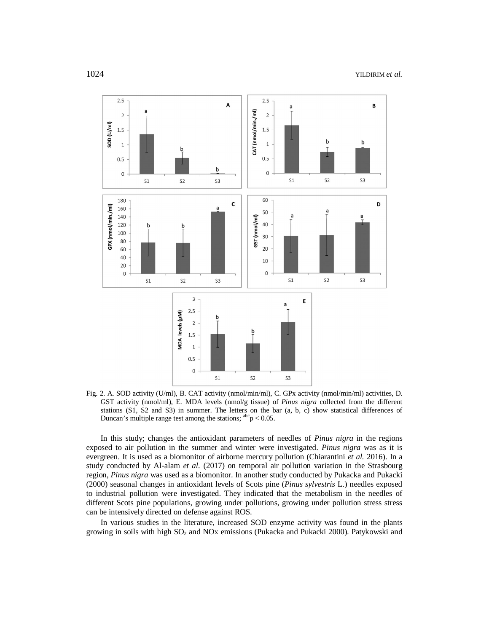

Fig. 2. A. SOD activity (U/ml), B. CAT activity (nmol/min/ml), C. GPx activity (nmol/min/ml) activities, D. GST activity (nmol/ml), E. MDA levels (nmol/g tissue) of *Pinus nigra* collected from the different stations (S1, S2 and S3) in summer. The letters on the bar (a, b, c) show statistical differences of Duncan's multiple range test among the stations;  $a^{abc}p < 0.05$ .

In this study; changes the antioxidant parameters of needles of *Pinus nigra* in the regions exposed to air pollution in the summer and winter were investigated. *Pinus nigra* was as it is evergreen. It is used as a biomonitor of airborne mercury pollution (Chiarantini *et al.* 2016). In a study conducted by Al-alam *et al.* (2017) on temporal air pollution variation in the Strasbourg region, *Pinus nigra* was used as a biomonitor. In another study conducted by Pukacka and Pukacki (2000) seasonal changes in antioxidant levels of Scots pine (*Pinus sylvestris* L.) needles exposed to industrial pollution were investigated. They indicated that the metabolism in the needles of different Scots pine populations, growing under pollutions, growing under pollution stress stress can be intensively directed on defense against ROS.

In various studies in the literature, increased SOD enzyme activity was found in the plants growing in soils with high SO<sup>2</sup> and NOx emissions (Pukacka and Pukacki 2000). Patykowski and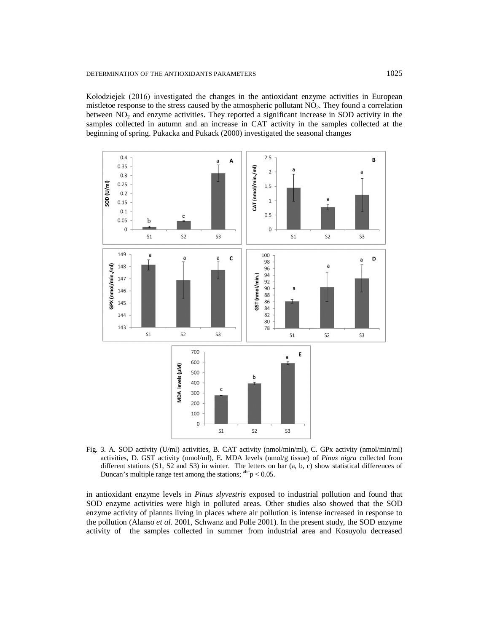Kołodziejek (2016) investigated the changes in the antioxidant enzyme activities in European mistletoe response to the stress caused by the atmospheric pollutant NO<sub>2</sub>. They found a correlation between  $NO<sub>2</sub>$  and enzyme activities. They reported a significant increase in SOD activity in the samples collected in autumn and an increase in CAT activity in the samples collected at the beginning of spring. Pukacka and Pukack (2000) investigated the seasonal changes



Fig. 3. A. SOD activity (U/ml) activities, B. CAT activity (nmol/min/ml), C. GPx activity (nmol/min/ml) activities, D. GST activity (nmol/ml), E. MDA levels (nmol/g tissue) of *Pinus nigra* collected from different stations (S1, S2 and S3) in winter. The letters on bar (a, b, c) show statistical differences of Duncan's multiple range test among the stations;  $^{abc}p < 0.05$ .

in antioxidant enzyme levels in *Pinus slyvestris* exposed to industrial pollution and found that SOD enzyme activities were high in polluted areas. Other studies also showed that the SOD enzyme activity of plannts living in places where air pollution is intense increased in response to the pollution (Alanso *et al.* 2001, Schwanz and Polle 2001). In the present study, the SOD enzyme activity of the samples collected in summer from industrial area and Kosuyolu decreased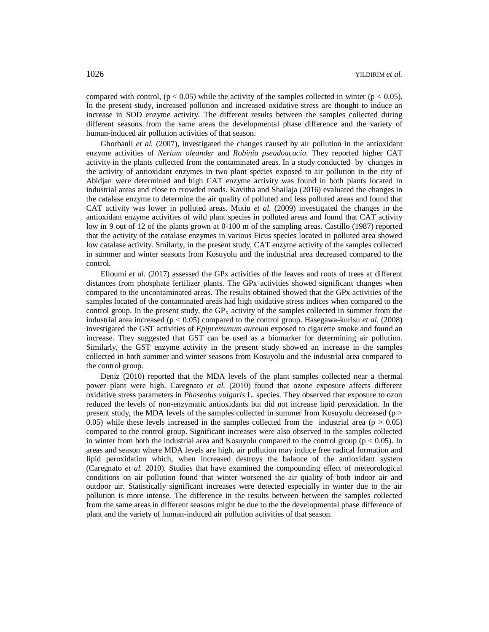compared with control,  $(p < 0.05)$  while the activity of the samples collected in winter  $(p < 0.05)$ . In the present study, increased pollution and increased oxidative stress are thought to induce an increase in SOD enzyme activity. The different results between the samples collected during different seasons from the same areas the developmental phase difference and the variety of human-induced air pollution activities of that season.

Ghorbanli *et al.* (2007), investigated the changes caused by air pollution in the antioxidant enzyme activities of *Nerium oleander* and *Robinia pseudoacacia*. They reported higher CAT activity in the plants collected from the contaminated areas. In a study conducted by changes in the activity of antioxidant enzymes in two plant species exposed to air pollution in the city of Abidjan were determined and high CAT enzyme activity was found in both plants located in industrial areas and close to crowded roads. Kavitha and Shailaja (2016) evaluated the changes in the catalase enzyme to determine the air quality of polluted and less polluted areas and found that CAT activity was lower in polluted areas. Mutiu *et al.* (2009) investigated the changes in the antioxidant enzyme activities of wild plant species in polluted areas and found that CAT activity low in 9 out of 12 of the plants grown at 0-100 m of the sampling areas. Castillo (1987) reported that the activity of the catalase enzymes in various Ficus species located in polluted area showed low catalase activity. Smilarly, in the present study, CAT enzyme activity of the samples collected in summer and winter seasons from Kosuyolu and the industrial area decreased compared to the control.

Elloumi *et al.* (2017) assessed the GPx activities of the leaves and roots of trees at different distances from phosphate fertilizer plants. The GPx activities showed significant changes when compared to the uncontaminated areas. The results obtained showed that the GPx activities of the samples located of the contaminated areas had high oxidative stress indices when compared to the control group. In the present study, the  $GP<sub>X</sub>$  activity of the samples collected in summer from the industrial area increased (p < 0.05) compared to the control group. Hasegawa-kurisu *et al.* (2008) investigated the GST activities of *Epipremunum aureum* exposed to cigarette smoke and found an increase. They suggested that GST can be used as a biomarker for determining air pollution. Similarly, the GST enzyme activity in the present study showed an increase in the samples collected in both summer and winter seasons from Kosuyolu and the industrial area compared to the control group.

Deniz (2010) reported that the MDA levels of the plant samples collected near a thermal power plant were high. Caregnato *et al.* (2010) found that ozone exposure affects different oxidative stress parameters in *Phaseolus vulgaris* L. species. They observed that exposure to ozon reduced the levels of non-enzymatic antioxidants but did not increase lipid peroxidation. In the present study, the MDA levels of the samples collected in summer from Kosuyolu decreased ( $p >$ 0.05) while these levels increased in the samples collected from the industrial area ( $p > 0.05$ ) compared to the control group. Significant increases were also observed in the samples collected in winter from both the industrial area and Kosuyolu compared to the control group ( $p < 0.05$ ). In areas and season where MDA levels are high, air pollution may induce free radical formation and lipid peroxidation which, when increased destroys the balance of the antioxidant system (Caregnato *et al.* 2010). Studies that have examined the compounding effect of meteorological conditions on air pollution found that winter worsened the air quality of both indoor air and outdoor air. Statistically significant increases were detected especially in winter due to the air pollution is more intense. The difference in the results between between the samples collected from the same areas in different seasons might be due to the the developmental phase difference of plant and the variety of human-induced air pollution activities of that season.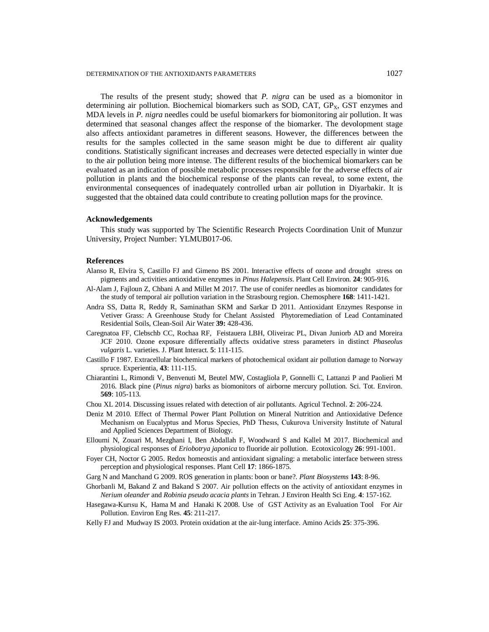The results of the present study; showed that *P. nigra* can be used as a biomonitor in determining air pollution. Biochemical biomarkers such as SOD, CAT,  $GP<sub>X</sub>$ , GST enzymes and MDA levels in *P. nigra* needles could be useful biomarkers for biomonitoring air pollution. It was determined that seasonal changes affect the response of the biomarker. The devolopment stage also affects antioxidant parametres in different seasons. However, the differences between the results for the samples collected in the same season might be due to different air quality conditions. Statistically significant increases and decreases were detected especially in winter due to the air pollution being more intense. The different results of the biochemical biomarkers can be evaluated as an indication of possible metabolic processes responsible for the adverse effects of air pollution in plants and the biochemical response of the plants can reveal, to some extent, the environmental consequences of inadequately controlled urban air pollution in Diyarbakir. It is suggested that the obtained data could contribute to creating pollution maps for the province.

#### **Acknowledgements**

This study was supported by The Scientific Research Projects Coordination Unit of Munzur University, Project Number: YLMUB017-06.

#### **References**

- Alanso R, Elvira S, Castillo FJ and Gimeno BS 2001. Interactive effects of ozone and drought stress on pigments and activities antioxidative enzymes in *Pinus Halepensis*. Plant Cell Environ. **24**: 905-916.
- Al-Alam J, Fajloun Z, Chbani A and Millet M 2017. The use of conifer needles as biomonitor candidates for the study of temporal air pollution variation in the Strasbourg region. Chemosphere **168**: 1411-1421.
- Andra SS, Datta R, Reddy R, Saminathan SKM and Sarkar D 2011. Antioxidant Enzymes Response in Vetiver Grass: A Greenhouse Study for Chelant Assisted Phytoremediation of Lead Contaminated Residential Soils, Clean-Soil Air Water **39:** 428-436.
- Caregnatoa FF, Clebschb CC, Rochaa RF, Feistauera LBH, Oliveirac PL, Divan Juniorb AD and Moreira JCF 2010. Ozone exposure differentially affects oxidative stress parameters in distinct *Phaseolus vulgaris* L. varieties. J. Plant Interact*.* **5**: 111-115.
- Castillo F 1987. Extracellular biochemical markers of photochemical oxidant air pollution damage to Norway spruce. Experientia, **43**: 111-115.
- Chiarantini L, Rimondi V, Benvenuti M, Beutel MW, Costagliola P, Gonnelli C, Lattanzi P and Paolieri M 2016. Black pine (*Pinus nigra*) barks as biomonitors of airborne mercury pollution. Sci. Tot. Environ. **569**: 105-113.
- Chou XL 2014. Discussing issues related with detection of air pollutants. Agricul Technol. **2**: 206-224.
- Deniz M 2010. Effect of Thermal Power Plant Pollution on Mineral Nutrition and Antioxidative Defence Mechanism on Eucalyptus and Morus Species, PhD Thesıs, Cukurova University Institute of Natural and Applied Sciences Department of Biology.
- Elloumi N, Zouari M, Mezghani I, Ben Abdallah F, Woodward S and Kallel M 2017. Biochemical and physiological responses of *Eriobotrya japonica* to fluoride air pollution. Ecotoxicology **26**: 991-1001.
- Foyer CH, Noctor G 2005. Redox homeostis and antioxidant signaling: a metabolic interface between stress perception and physiological responses. Plant Cell **17**: 1866-1875.
- Garg N and Manchand G 2009. ROS generation in plants: boon or bane?. *Plant Biosystems* **143**: 8-96.
- Ghorbanli M, Bakand Z and Bakand S 2007. Air pollution effects on the activity of antioxidant enzymes in *Nerium oleander* and *Robinia pseudo acacia plants* in Tehran. J Environ Health Sci Eng. **4**: 157-162.
- Hasegawa-Kurısu K, Hama M and Hanaki K 2008. Use of GST Activity as an Evaluation Tool For Air Pollution. Environ Eng Res. **45**: 211-217.
- Kelly FJ and Mudway IS 2003. Protein oxidation at the air-lung interface. Amino Acids **25**: 375-396.